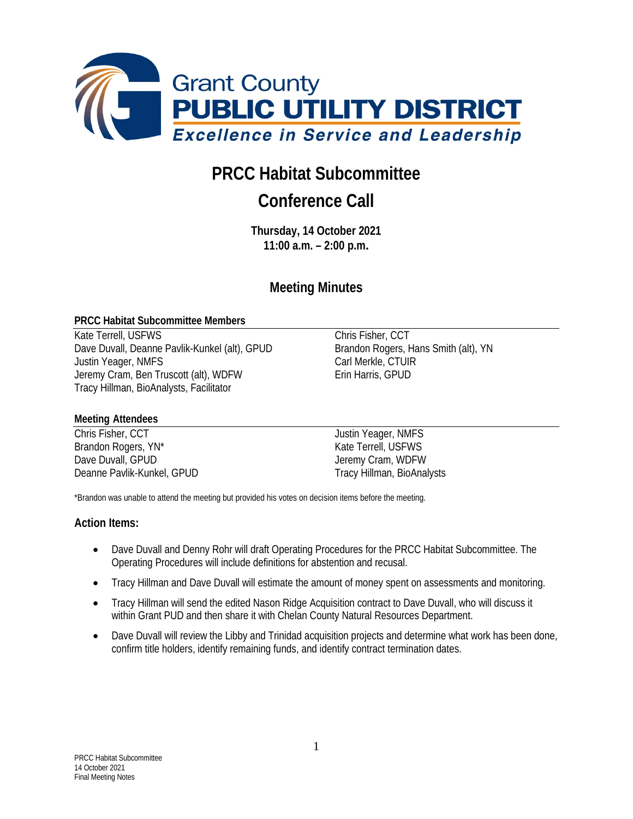

# **PRCC Habitat Subcommittee**

# **Conference Call**

**Thursday, 14 October 2021 11:00 a.m. – 2:00 p.m.**

# **Meeting Minutes**

#### **PRCC Habitat Subcommittee Members**

Kate Terrell, USFWS<br>
Dave Duvall, Deanne Pavlik-Kunkel (alt), GPUD<br>
Brandon Rogers, Hans Smith (alt), YN Dave Duvall, Deanne Pavlik-Kunkel (alt), GPUD Justin Yeager, NMFS Carl Merkle, CTUIR Jeremy Cram, Ben Truscott (alt), WDFW Erin Harris, GPUD Tracy Hillman, BioAnalysts, Facilitator

#### **Meeting Attendees**

Chris Fisher, CCT and Tustin Yeager, NMFS Brandon Rogers, YN<sup>\*</sup> The Contract of the Contract of Kate Terrell, USFWS Dave Duvall, GPUD **Dave Duvall**, GPUD **Jeremy Cram**, WDFW Deanne Pavlik-Kunkel, GPUD Tracy Hillman, BioAnalysts

\*Brandon was unable to attend the meeting but provided his votes on decision items before the meeting.

#### **Action Items:**

- Dave Duvall and Denny Rohr will draft Operating Procedures for the PRCC Habitat Subcommittee. The Operating Procedures will include definitions for abstention and recusal.
- Tracy Hillman and Dave Duvall will estimate the amount of money spent on assessments and monitoring.
- Tracy Hillman will send the edited Nason Ridge Acquisition contract to Dave Duvall, who will discuss it within Grant PUD and then share it with Chelan County Natural Resources Department.
- Dave Duvall will review the Libby and Trinidad acquisition projects and determine what work has been done, confirm title holders, identify remaining funds, and identify contract termination dates.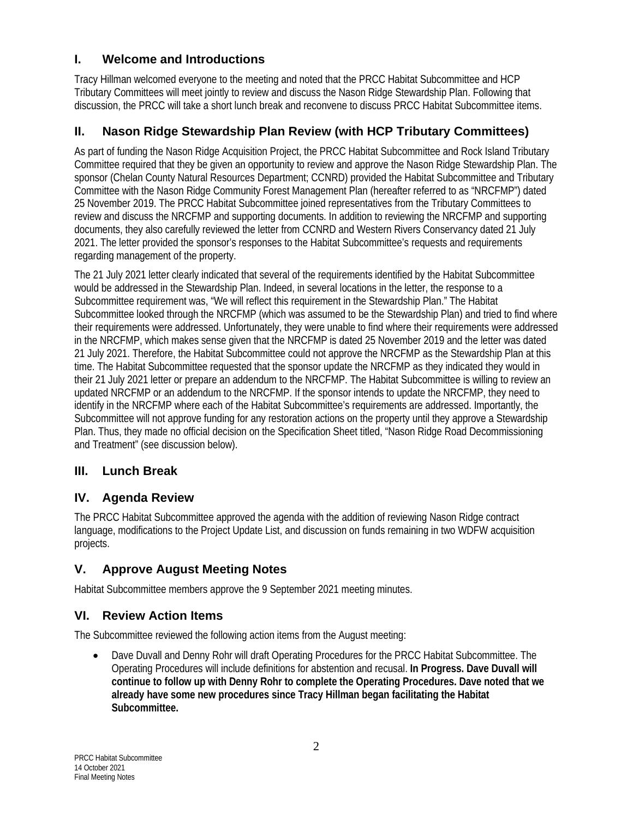## **I. Welcome and Introductions**

Tracy Hillman welcomed everyone to the meeting and noted that the PRCC Habitat Subcommittee and HCP Tributary Committees will meet jointly to review and discuss the Nason Ridge Stewardship Plan. Following that discussion, the PRCC will take a short lunch break and reconvene to discuss PRCC Habitat Subcommittee items.

## **II. Nason Ridge Stewardship Plan Review (with HCP Tributary Committees)**

As part of funding the Nason Ridge Acquisition Project, the PRCC Habitat Subcommittee and Rock Island Tributary Committee required that they be given an opportunity to review and approve the Nason Ridge Stewardship Plan. The sponsor (Chelan County Natural Resources Department; CCNRD) provided the Habitat Subcommittee and Tributary Committee with the Nason Ridge Community Forest Management Plan (hereafter referred to as "NRCFMP") dated 25 November 2019. The PRCC Habitat Subcommittee joined representatives from the Tributary Committees to review and discuss the NRCFMP and supporting documents. In addition to reviewing the NRCFMP and supporting documents, they also carefully reviewed the letter from CCNRD and Western Rivers Conservancy dated 21 July 2021. The letter provided the sponsor's responses to the Habitat Subcommittee's requests and requirements regarding management of the property.

The 21 July 2021 letter clearly indicated that several of the requirements identified by the Habitat Subcommittee would be addressed in the Stewardship Plan. Indeed, in several locations in the letter, the response to a Subcommittee requirement was, "We will reflect this requirement in the Stewardship Plan." The Habitat Subcommittee looked through the NRCFMP (which was assumed to be the Stewardship Plan) and tried to find where their requirements were addressed. Unfortunately, they were unable to find where their requirements were addressed in the NRCFMP, which makes sense given that the NRCFMP is dated 25 November 2019 and the letter was dated 21 July 2021. Therefore, the Habitat Subcommittee could not approve the NRCFMP as the Stewardship Plan at this time. The Habitat Subcommittee requested that the sponsor update the NRCFMP as they indicated they would in their 21 July 2021 letter or prepare an addendum to the NRCFMP. The Habitat Subcommittee is willing to review an updated NRCFMP or an addendum to the NRCFMP. If the sponsor intends to update the NRCFMP, they need to identify in the NRCFMP where each of the Habitat Subcommittee's requirements are addressed. Importantly, the Subcommittee will not approve funding for any restoration actions on the property until they approve a Stewardship Plan. Thus, they made no official decision on the Specification Sheet titled, "Nason Ridge Road Decommissioning and Treatment" (see discussion below).

### **III. Lunch Break**

### **IV. Agenda Review**

The PRCC Habitat Subcommittee approved the agenda with the addition of reviewing Nason Ridge contract language, modifications to the Project Update List, and discussion on funds remaining in two WDFW acquisition projects.

## **V. Approve August Meeting Notes**

Habitat Subcommittee members approve the 9 September 2021 meeting minutes.

### **VI. Review Action Items**

The Subcommittee reviewed the following action items from the August meeting:

• Dave Duvall and Denny Rohr will draft Operating Procedures for the PRCC Habitat Subcommittee. The Operating Procedures will include definitions for abstention and recusal. **In Progress. Dave Duvall will continue to follow up with Denny Rohr to complete the Operating Procedures. Dave noted that we already have some new procedures since Tracy Hillman began facilitating the Habitat Subcommittee.**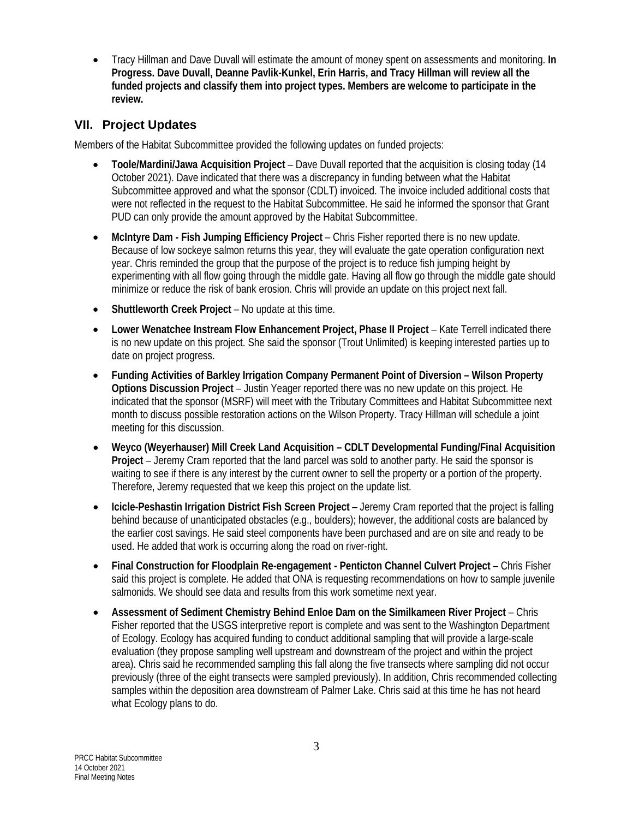• Tracy Hillman and Dave Duvall will estimate the amount of money spent on assessments and monitoring. **In Progress. Dave Duvall, Deanne Pavlik-Kunkel, Erin Harris, and Tracy Hillman will review all the funded projects and classify them into project types. Members are welcome to participate in the review.** 

## **VII. Project Updates**

Members of the Habitat Subcommittee provided the following updates on funded projects:

- **Toole/Mardini/Jawa Acquisition Project** Dave Duvall reported that the acquisition is closing today (14 October 2021). Dave indicated that there was a discrepancy in funding between what the Habitat Subcommittee approved and what the sponsor (CDLT) invoiced. The invoice included additional costs that were not reflected in the request to the Habitat Subcommittee. He said he informed the sponsor that Grant PUD can only provide the amount approved by the Habitat Subcommittee.
- **McIntyre Dam - Fish Jumping Efficiency Project** Chris Fisher reported there is no new update. Because of low sockeye salmon returns this year, they will evaluate the gate operation configuration next year. Chris reminded the group that the purpose of the project is to reduce fish jumping height by experimenting with all flow going through the middle gate. Having all flow go through the middle gate should minimize or reduce the risk of bank erosion. Chris will provide an update on this project next fall.
- **Shuttleworth Creek Project** No update at this time.
- **Lower Wenatchee Instream Flow Enhancement Project, Phase II Project** Kate Terrell indicated there is no new update on this project. She said the sponsor (Trout Unlimited) is keeping interested parties up to date on project progress.
- **Funding Activities of Barkley Irrigation Company Permanent Point of Diversion – Wilson Property Options Discussion Project** – Justin Yeager reported there was no new update on this project. He indicated that the sponsor (MSRF) will meet with the Tributary Committees and Habitat Subcommittee next month to discuss possible restoration actions on the Wilson Property. Tracy Hillman will schedule a joint meeting for this discussion.
- **Weyco (Weyerhauser) Mill Creek Land Acquisition – CDLT Developmental Funding/Final Acquisition Project** – Jeremy Cram reported that the land parcel was sold to another party. He said the sponsor is waiting to see if there is any interest by the current owner to sell the property or a portion of the property. Therefore, Jeremy requested that we keep this project on the update list.
- **Icicle-Peshastin Irrigation District Fish Screen Project** Jeremy Cram reported that the project is falling behind because of unanticipated obstacles (e.g., boulders); however, the additional costs are balanced by the earlier cost savings. He said steel components have been purchased and are on site and ready to be used. He added that work is occurring along the road on river-right.
- **Final Construction for Floodplain Re-engagement - Penticton Channel Culvert Project** Chris Fisher said this project is complete. He added that ONA is requesting recommendations on how to sample juvenile salmonids. We should see data and results from this work sometime next year.
- **Assessment of Sediment Chemistry Behind Enloe Dam on the Similkameen River Project** Chris Fisher reported that the USGS interpretive report is complete and was sent to the Washington Department of Ecology. Ecology has acquired funding to conduct additional sampling that will provide a large-scale evaluation (they propose sampling well upstream and downstream of the project and within the project area). Chris said he recommended sampling this fall along the five transects where sampling did not occur previously (three of the eight transects were sampled previously). In addition, Chris recommended collecting samples within the deposition area downstream of Palmer Lake. Chris said at this time he has not heard what Ecology plans to do.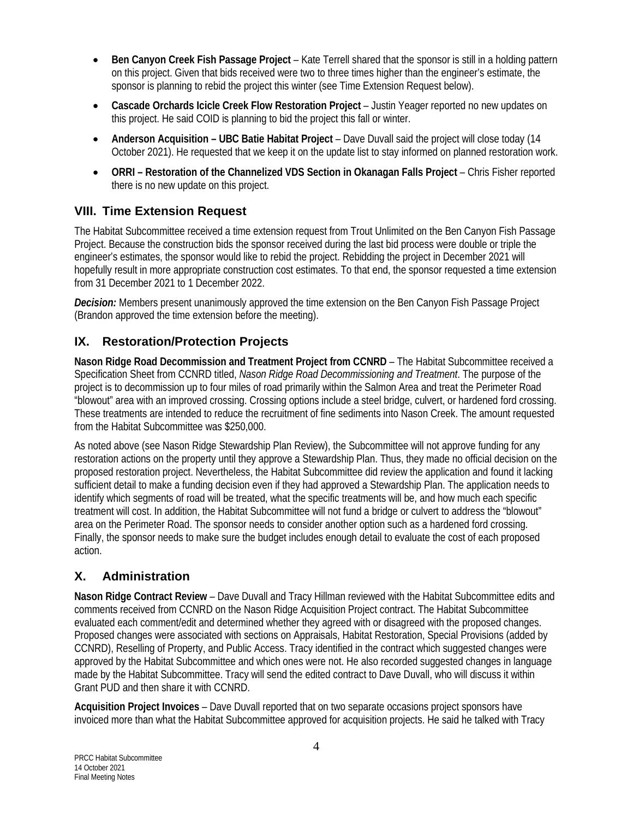- **Ben Canyon Creek Fish Passage Project** Kate Terrell shared that the sponsor is still in a holding pattern on this project. Given that bids received were two to three times higher than the engineer's estimate, the sponsor is planning to rebid the project this winter (see Time Extension Request below).
- **Cascade Orchards Icicle Creek Flow Restoration Project** Justin Yeager reported no new updates on this project. He said COID is planning to bid the project this fall or winter.
- **Anderson Acquisition – UBC Batie Habitat Project** Dave Duvall said the project will close today (14 October 2021). He requested that we keep it on the update list to stay informed on planned restoration work.
- **ORRI – Restoration of the Channelized VDS Section in Okanagan Falls Project** Chris Fisher reported there is no new update on this project.

## **VIII. Time Extension Request**

The Habitat Subcommittee received a time extension request from Trout Unlimited on the Ben Canyon Fish Passage Project. Because the construction bids the sponsor received during the last bid process were double or triple the engineer's estimates, the sponsor would like to rebid the project. Rebidding the project in December 2021 will hopefully result in more appropriate construction cost estimates. To that end, the sponsor requested a time extension from 31 December 2021 to 1 December 2022.

*Decision:* Members present unanimously approved the time extension on the Ben Canyon Fish Passage Project (Brandon approved the time extension before the meeting).

## **IX. Restoration/Protection Projects**

**Nason Ridge Road Decommission and Treatment Project from CCNRD** – The Habitat Subcommittee received a Specification Sheet from CCNRD titled, *Nason Ridge Road Decommissioning and Treatment*. The purpose of the project is to decommission up to four miles of road primarily within the Salmon Area and treat the Perimeter Road "blowout" area with an improved crossing. Crossing options include a steel bridge, culvert, or hardened ford crossing. These treatments are intended to reduce the recruitment of fine sediments into Nason Creek. The amount requested from the Habitat Subcommittee was \$250,000.

As noted above (see Nason Ridge Stewardship Plan Review), the Subcommittee will not approve funding for any restoration actions on the property until they approve a Stewardship Plan. Thus, they made no official decision on the proposed restoration project. Nevertheless, the Habitat Subcommittee did review the application and found it lacking sufficient detail to make a funding decision even if they had approved a Stewardship Plan. The application needs to identify which segments of road will be treated, what the specific treatments will be, and how much each specific treatment will cost. In addition, the Habitat Subcommittee will not fund a bridge or culvert to address the "blowout" area on the Perimeter Road. The sponsor needs to consider another option such as a hardened ford crossing. Finally, the sponsor needs to make sure the budget includes enough detail to evaluate the cost of each proposed action.

## **X. Administration**

**Nason Ridge Contract Review** – Dave Duvall and Tracy Hillman reviewed with the Habitat Subcommittee edits and comments received from CCNRD on the Nason Ridge Acquisition Project contract. The Habitat Subcommittee evaluated each comment/edit and determined whether they agreed with or disagreed with the proposed changes. Proposed changes were associated with sections on Appraisals, Habitat Restoration, Special Provisions (added by CCNRD), Reselling of Property, and Public Access. Tracy identified in the contract which suggested changes were approved by the Habitat Subcommittee and which ones were not. He also recorded suggested changes in language made by the Habitat Subcommittee. Tracy will send the edited contract to Dave Duvall, who will discuss it within Grant PUD and then share it with CCNRD.

**Acquisition Project Invoices** – Dave Duvall reported that on two separate occasions project sponsors have invoiced more than what the Habitat Subcommittee approved for acquisition projects. He said he talked with Tracy